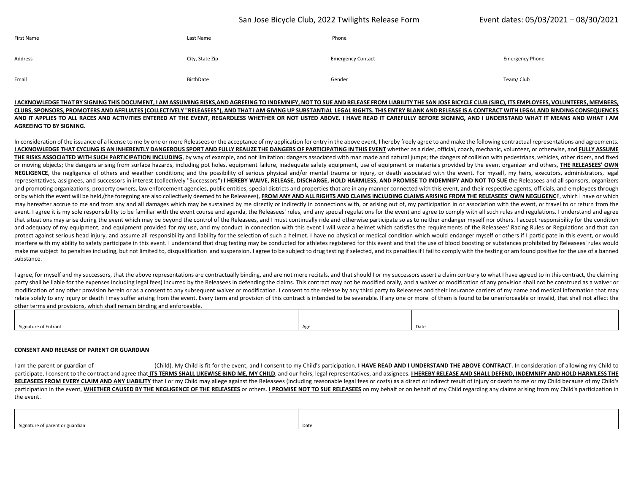## San Jose Bicycle Club, 2022 Twilights Release Form Event dates: 05/03/2021 – 08/30/2021

| First Name | Last Name       | Phone                    |                        |
|------------|-----------------|--------------------------|------------------------|
| Address    | City, State Zip | <b>Emergency Contact</b> | <b>Emergency Phone</b> |
| Email      | BirthDate       | Gender                   | Team/ Club             |

### I ACKNOWLEDGE THAT BY SIGNING THIS DOCUMENT, I AM ASSUMING RISKS,AND AGREEING TO INDEMNIFY, NOT TO SUE AND RELEASE FROM LIABILITY THE SAN JOSE BICYCLE CLUB (SJBC), ITS EMPLOYEES, VOLUNTEERS, MEMBERS, CLUBS, SPONSORS, PROMOTERS AND AFFILIATES (COLLECTIVELY "RELEASEES"), AND THAT I AM GIVING UP SUBSTANTIAL LEGAL RIGHTS. THIS ENTRY BLANK AND RELEASE IS A CONTRACT WITH LEGAL AND BINDING CONSEQUENCES AND IT APPLIES TO ALL RACES AND ACTIVITIES ENTERED AT THE EVENT, REGARDLESS WHETHER OR NOT LISTED ABOVE. I HAVE READ IT CAREFULLY BEFORE SIGNING, AND I UNDERSTAND WHAT IT MEANS AND WHAT I AM **AGREEING TO BY SIGNING.**

In consideration of the issuance of a license to me by one or more Releasees or the acceptance of my application for entry in the above event, I hereby freely agree to and make the following contractual representations and I ACKNOWLEDGE THAT CYCLING IS AN INHERENTLY DANGEROUS SPORT AND FULLY REALIZE THE DANGERS OF PARTICIPATING IN THIS EVENT whether as a rider, official, coach, mechanic, volunteer, or otherwise, and FULLY ASSUME THE RISKS ASSOCIATED WITH SUCH PARTICIPATION INCLUDING, by way of example, and not limitation: dangers associated with man made and natural jumps; the dangers of collision with pedestrians, vehicles, other riders, and fixe or moving objects; the dangers arising from surface hazards, including pot holes, equipment failure, inadequate safety equipment, use of equipment or materials provided by the event organizer and others, THE RELEASEES' OWN NEGLIGENCE, the negligence of others and weather conditions; and the possibility of serious physical and/or mental trauma or injury, or death associated with the event. For myself, my heirs, executors, administrators, lega representatives, assignees, and successors in interest (collectively "Successors") I HEREBY WAIVE, RELEASE, DISCHARGE, HOLD HARMLESS, AND PROMISE TO INDEMNIFY AND NOT TO SUE the Releasees and all sponsors, organizers and promoting organizations, property owners, law enforcement agencies, public entities, special districts and properties that are in any manner connected with this event, and their respective agents, officials, and employ or by which the event will be held,(the foregoing are also collectively deemed to be Releasees), FROM ANY AND ALL RIGHTS AND CLAIMS INCLUDING CLAIMS ARISING FROM THE RELEASEES' OWN NEGLIGENCE, which I have or which may hereafter accrue to me and from any and all damages which may be sustained by me directly or indirectly in connections with, or arising out of, my participation in or association with the event, or travel to or return event. I agree it is my sole responsibility to be familiar with the event course and agenda, the Releasees' rules, and any special regulations for the event and agree to comply with all such rules and regulations. I unders that situations may arise during the event which may be beyond the control of the Releasees, and I must continually ride and otherwise participate so as to neither endanger myself nor others. I accept responsibility for th and adequacy of my equipment, and equipment provided for my use, and my conduct in connection with this event l will wear <sup>a</sup> helmet which satisfies the requirements of the Releasees' Racing Rules or Regulations and that can protect against serious head injury, and assume all responsibility and liability for the selection of such a helmet. I have no physical or medical condition which would endanger myself or others if I participate in this ev interfere with my ability to safety participate in this event. I understand that drug testing may be conducted for athletes registered for this event and that the use of blood boosting or substances prohibited by Releasees make me subject to penalties including, but not limited to, disqualification and suspension. I agree to be subject to drug testing if selected, and its penalties if I fail to comply with the testing or am found positive fo substance.

I agree, for myself and my successors, that the above representations are contractually binding, and are not mere recitals, and that should I or my successors assert a claim contrary to what I have agreed to in this contra party shall be liable for the expenses including legal fees) incurred by the Releasees in defending the claims. This contract may not be modified orally, and a waiver or modification of any provision shall not be construed modification of any other provision herein or as a consent to any subsequent waiver or modification. I consent to the release by any third party to Releasees and their insurance carriers of my name and medical information relate solely to any injury or death I may suffer arising from the event. Every term and provision of this contract is intended to be severable. If any one or more of them is found to be unenforceable or invalid, that shal other terms and provisions, which shall remain binding and enforceable.

| $  -$<br>Signature of Entrant | . . | Date |
|-------------------------------|-----|------|

#### **CONSENT AND RELEASE OF PARENT OR GUARDIAN**

I am the parent or guardian of (Child). My Child is fit for the event, and I consent to my Child's participation. I HAVE READ AND I UNDERSTAND THE ABOVE CONTRACT. In consideration of allowing my Child to participate. I consent to the contract and agree that ITS TERMS SHALL LIKEWISE BIND ME. MY CHILD, and our heirs, legal representatives, and assignees. I HEREBY RELEASE AND SHALL DEFEND. INDEMNIFY AND HOLD HARMLESS THE RELEASEES FROM EVERY CLAIM AND ANY LIABILITY that I or my Child may allege against the Releasees (including reasonable legal fees or costs) as a direct or indirect result of injury or death to me or my Child because of my participation in the event, WHETHER CAUSED BY THE NEGLIGENCE OF THE RELEASEES or others. I PROMISE NOT TO SUE RELEASEES on my behalf or on behalf of my Child regarding any claims arising from my Child's participation in the event.

| Signature of parent or guardian | Date – |
|---------------------------------|--------|